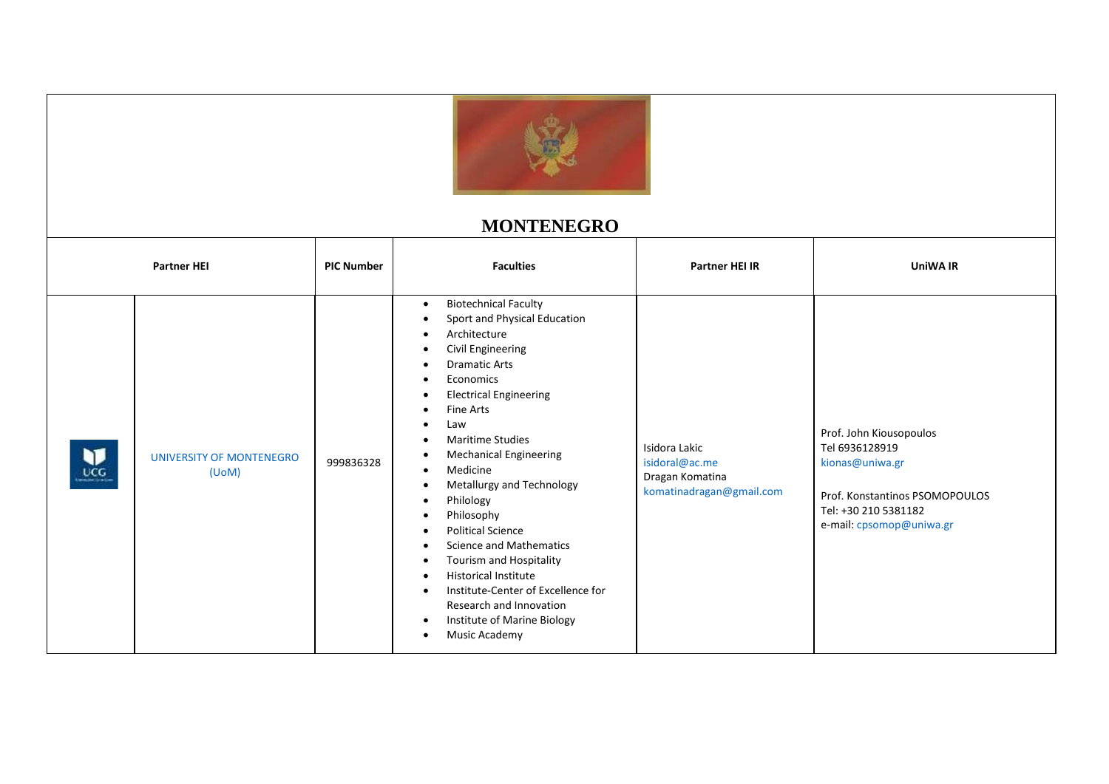

## **MONTENEGRO**

|          | <b>Partner HEI</b>                       | <b>PIC Number</b> | <b>Faculties</b>                                                                                                                                                                                                                                                                                                                                                                                                                                                                                                                                                                                                                    | <b>Partner HEI IR</b>                                                          | <b>UniWA IR</b>                                                                                                                                    |
|----------|------------------------------------------|-------------------|-------------------------------------------------------------------------------------------------------------------------------------------------------------------------------------------------------------------------------------------------------------------------------------------------------------------------------------------------------------------------------------------------------------------------------------------------------------------------------------------------------------------------------------------------------------------------------------------------------------------------------------|--------------------------------------------------------------------------------|----------------------------------------------------------------------------------------------------------------------------------------------------|
| v<br>nce | <b>UNIVERSITY OF MONTENEGRO</b><br>(UoM) | 999836328         | <b>Biotechnical Faculty</b><br>Sport and Physical Education<br>Architecture<br><b>Civil Engineering</b><br><b>Dramatic Arts</b><br>Economics<br><b>Electrical Engineering</b><br>٠<br>Fine Arts<br>Law<br><b>Maritime Studies</b><br><b>Mechanical Engineering</b><br>$\bullet$<br>Medicine<br>Metallurgy and Technology<br>Philology<br>$\bullet$<br>Philosophy<br>$\bullet$<br><b>Political Science</b><br><b>Science and Mathematics</b><br>Tourism and Hospitality<br><b>Historical Institute</b><br>Institute-Center of Excellence for<br>Research and Innovation<br>Institute of Marine Biology<br>$\bullet$<br>Music Academy | Isidora Lakic<br>isidoral@ac.me<br>Dragan Komatina<br>komatinadragan@gmail.com | Prof. John Kiousopoulos<br>Tel 6936128919<br>kionas@uniwa.gr<br>Prof. Konstantinos PSOMOPOULOS<br>Tel: +30 210 5381182<br>e-mail: cpsomop@uniwa.gr |